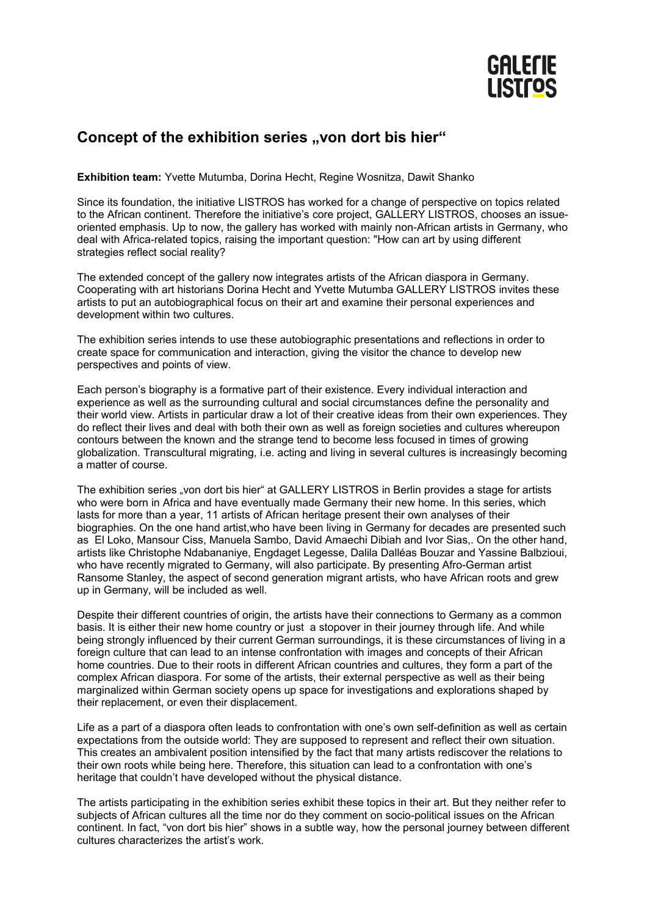

## Concept of the exhibition series "von dort bis hier"

**Exhibition team:** Yvette Mutumba, Dorina Hecht, Regine Wosnitza, Dawit Shanko

Since its foundation, the initiative LISTROS has worked for a change of perspective on topics related to the African continent. Therefore the initiative's core project, GALLERY LISTROS, chooses an issueoriented emphasis. Up to now, the gallery has worked with mainly non-African artists in Germany, who deal with Africa-related topics, raising the important question: "How can art by using different strategies reflect social reality?

The extended concept of the gallery now integrates artists of the African diaspora in Germany. Cooperating with art historians Dorina Hecht and Yvette Mutumba GALLERY LISTROS invites these artists to put an autobiographical focus on their art and examine their personal experiences and development within two cultures.

The exhibition series intends to use these autobiographic presentations and reflections in order to create space for communication and interaction, giving the visitor the chance to develop new perspectives and points of view.

Each person's biography is a formative part of their existence. Every individual interaction and experience as well as the surrounding cultural and social circumstances define the personality and their world view. Artists in particular draw a lot of their creative ideas from their own experiences. They do reflect their lives and deal with both their own as well as foreign societies and cultures whereupon contours between the known and the strange tend to become less focused in times of growing globalization. Transcultural migrating, i.e. acting and living in several cultures is increasingly becoming a matter of course.

The exhibition series "von dort bis hier" at GALLERY LISTROS in Berlin provides a stage for artists who were born in Africa and have eventually made Germany their new home. In this series, which lasts for more than a year, 11 artists of African heritage present their own analyses of their biographies. On the one hand artist,who have been living in Germany for decades are presented such as El Loko, Mansour Ciss, Manuela Sambo, David Amaechi Dibiah and Ivor Sias,. On the other hand, artists like Christophe Ndabananiye, Engdaget Legesse, Dalila Dalléas Bouzar and Yassine Balbzioui, who have recently migrated to Germany, will also participate. By presenting Afro-German artist Ransome Stanley, the aspect of second generation migrant artists, who have African roots and grew up in Germany, will be included as well.

Despite their different countries of origin, the artists have their connections to Germany as a common basis. It is either their new home country or just a stopover in their journey through life. And while being strongly influenced by their current German surroundings, it is these circumstances of living in a foreign culture that can lead to an intense confrontation with images and concepts of their African home countries. Due to their roots in different African countries and cultures, they form a part of the complex African diaspora. For some of the artists, their external perspective as well as their being marginalized within German society opens up space for investigations and explorations shaped by their replacement, or even their displacement.

Life as a part of a diaspora often leads to confrontation with one's own self-definition as well as certain expectations from the outside world: They are supposed to represent and reflect their own situation. This creates an ambivalent position intensified by the fact that many artists rediscover the relations to their own roots while being here. Therefore, this situation can lead to a confrontation with one's heritage that couldn't have developed without the physical distance.

The artists participating in the exhibition series exhibit these topics in their art. But they neither refer to subjects of African cultures all the time nor do they comment on socio-political issues on the African continent. In fact, "von dort bis hier" shows in a subtle way, how the personal journey between different cultures characterizes the artist's work.